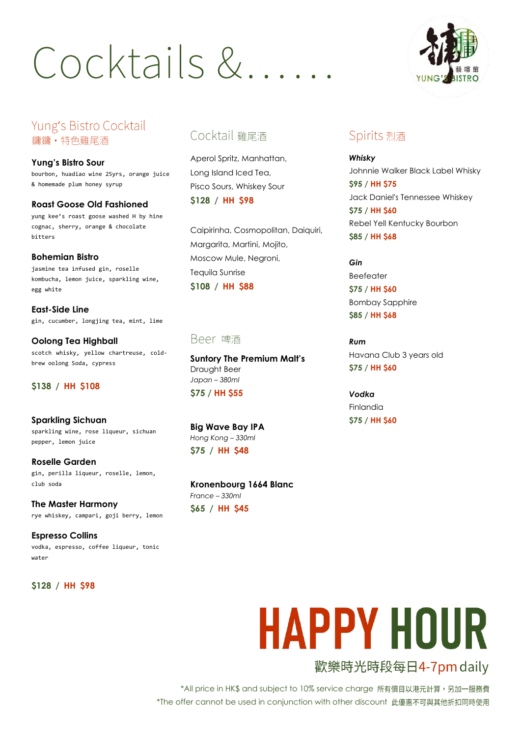## Cocktails &

### Yung's Bistro Cocktail 鏞鏞·特色雞尾酒

**Yung's Bistro Sour** bourbon, huadiao wine 25yrs, orange juice & homemade plum honey syrup

**Roast Goose Old Fashioned** yung kee's roast goose washed H by hine cognac, sherry, orange & chocolate bitters

**Bohemian Bistro**  jasmine tea infused gin, roselle kombucha, lemon juice, sparkling wine, egg white

**East-Side Line**  gin, cucumber, longjing tea, mint, lime

**Oolong Tea Highball**  scotch whisky, yellow chartreuse, coldbrew oolong Soda, cypress

#### **\$138 / HH \$108**

**Sparkling Sichuan** sparkling wine, rose liqueur, sichuan pepper, lemon juice

**Roselle Garden** gin, perilla liqueur, roselle, lemon, club soda

**The Master Harmony**  rye whiskey, campari, goji berry, lemon

**Espresso Collins**  vodka, espresso, coffee liqueur, tonic water

**\$128 / HH \$98**

### Cocktail 雞尾酒

Aperol Spritz, Manhattan, Long Island Iced Tea, Pisco Sours, Whiskey Sour **\$128 / HH \$98**

Caipirinha, Cosmopolitan, Daiquiri, Margarita, Martini, Mojito, Moscow Mule, Negroni, Tequila Sunrise **\$108 / HH \$88**

### Beer 啤酒

**Suntory The Premium Malt's** Draught Beer *Japan – 380ml* **\$75 / HH \$55**

**Big Wave Bay IPA** *Hong Kong – 330ml* **\$75 / HH \$48**

**Kronenbourg 1664 Blanc** *France – 330ml* **\$65 / HH \$45**



### Spirits 烈酒

*Whisky* Johnnie Walker Black Label Whisky **\$95 / HH \$75** Jack Daniel's Tennessee Whiskey **\$75 / HH \$60** Rebel Yell Kentucky Bourbon **\$85 / HH \$68**

*Gin* Beefeater **\$75 / HH \$60** Bombay Sapphire **\$85 / HH \$68**

*Rum* Havana Club 3 years old **\$75 / HH \$60**

*Vodka* Finlandia **\$75 / HH \$60**

# **HAPPY HOUR**

歡樂時光時段每日4-7pm daily

\*All price in HK\$ and subject to 10% service charge 所有價目以港元計算,另加一服務費 \*The offer cannot be used in conjunction with other discount 此優惠不可與其他折扣同時使用